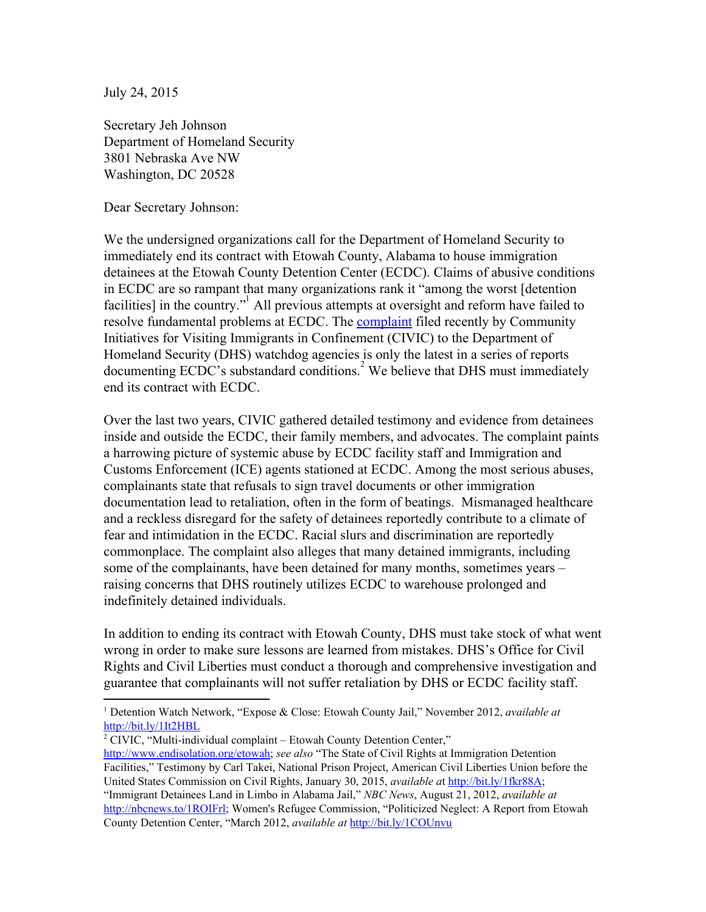July 24, 2015

Secretary Jeh Johnson Department of Homeland Security 3801 Nebraska Ave NW Washington, DC 20528

Dear Secretary Johnson:

We the undersigned organizations call for the Department of Homeland Security to immediately end its contract with Etowah County, Alabama to house immigration detainees at the Etowah County Detention Center (ECDC). Claims of abusive conditions in ECDC are so rampant that many organizations rank it "among the worst [detention facilities] in the country." All previous attempts at oversight and reform have failed to resolve fundamental problems at ECDC. The **[complaint](http://www.endisolation.org/wp-content/uploads/2015/07/Etowah_Complaint_CIVIC_20151.pdf)** filed recently by Community Initiatives for Visiting Immigrants in Confinement (CIVIC) to the Department of Homeland Security (DHS) watchdog agencies is only the latest in a series of reports documenting ECDC's substandard conditions.<sup>2</sup> We believe that DHS must immediately end its contract with ECDC.

Over the last two years, CIVIC gathered detailed testimony and evidence from detainees inside and outside the ECDC, their family members, and advocates. The complaint paints a harrowing picture of systemic abuse by ECDC facility staff and Immigration and Customs Enforcement (ICE) agents stationed at ECDC. Among the most serious abuses, complainants state that refusals to sign travel documents or other immigration documentation lead to retaliation, often in the form of beatings. Mismanaged healthcare and a reckless disregard for the safety of detainees reportedly contribute to a climate of fear and intimidation in the ECDC. Racial slurs and discrimination are reportedly commonplace. The complaint also alleges that many detained immigrants, including some of the complainants, have been detained for many months, sometimes years – raising concerns that DHS routinely utilizes ECDC to warehouse prolonged and indefinitely detained individuals.

In addition to ending its contract with Etowah County, DHS must take stock of what went wrong in order to make sure lessons are learned from mistakes. DHS's Office for Civil Rights and Civil Liberties must conduct a thorough and comprehensive investigation and guarantee that complainants will not suffer retaliation by DHS or ECDC facility staff.

 $2$  CIVIC, "Multi-individual complaint – Etowah County Detention Center,"

[http://www.endisolation.org/etowah;](http://www.endisolation.org/etowah) *see also* "The State of Civil Rights at Immigration Detention Facilities," Testimony by Carl Takei, National Prison Project, American Civil Liberties Union before the United States Commission on Civil Rights, January 30, 2015, *available a*t <http://bit.ly/1fkr88A>; "Immigrant Detainees Land in Limbo in Alabama Jail," *NBC News*, August 21, 2012, *available at* [http://nbcnews.to/1ROIFrl;](http://nbcnews.to/1ROIFrl) Women's Refugee Commission, "Politicized Neglect: A Report from Etowah County Detention Center, "March 2012, *available at* <http://bit.ly/1COUnvu>

<sup>1</sup> Detention Watch Network, "Expose & Close: Etowah County Jail," November 2012, *available at* <http://bit.ly/1It2HBL>